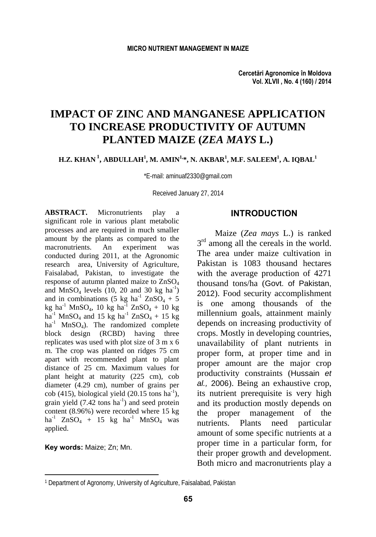# **IMPACT OF ZINC AND MANGANESE APPLICATION TO INCREASE PRODUCTIVITY OF AUTUMN PLANTED MAIZE (***ZEA MAYS* **L.)**

#### **H.Z. KHAN 1, ABDULLAH1 , M. AMIN1,\*, N. AKBAR1 , M.F. SALEEM1 , A. IQBAL1**

\*E-mail: aminuaf2330@gmail.com

Received January 27, 2014

**ABSTRACT.** Micronutrients play a significant role in various plant metabolic processes and are required in much smaller amount by the plants as compared to the macronutrients. An experiment was conducted during 2011, at the Agronomic research area, University of Agriculture, Faisalabad, Pakistan, to investigate the response of autumn planted maize to ZnSO4 and MnSO<sub>4</sub> levels  $(10, 20 \text{ and } 30 \text{ kg ha}^{-1})$ and in combinations (5 kg ha<sup>-1</sup> ZnSO<sub>4</sub> + 5  $kg$  ha<sup>-1</sup> MnSO<sub>4</sub>, 10 kg ha<sup>-1</sup> ZnSO<sub>4</sub> + 10 kg  $ha^{-1}$  MnSO<sub>4</sub> and 15 kg  $ha^{-1}$  ZnSO<sub>4</sub> + 15 kg  $ha^{-1}$  MnSO<sub>4</sub>). The randomized complete block design (RCBD) having three replicates was used with plot size of 3 m x 6 m. The crop was planted on ridges 75 cm apart with recommended plant to plant distance of 25 cm. Maximum values for plant height at maturity (225 cm), cob diameter (4.29 cm), number of grains per cob (415), biological yield (20.15 tons  $ha^{-1}$ ), grain yield  $(7.42 \text{ tons ha}^{-1})$  and seed protein content (8.96%) were recorded where 15 kg ha<sup>-1</sup> ZnSO<sub>4</sub> + 15 kg ha<sup>-1</sup> MnSO<sub>4</sub> was applied.

**Key words:** Maize; Zn; Mn.

 $\overline{a}$ 

#### **INTRODUCTION**

Maize (*Zea mays* L.) is ranked  $3<sup>rd</sup>$  among all the cereals in the world. The area under maize cultivation in Pakistan is 1083 thousand hectares with the average production of 4271 thousand tons/ha (Govt. of Pakistan, 2012). Food security accomplishment is one among thousands of the millennium goals, attainment mainly depends on increasing productivity of crops. Mostly in developing countries, unavailability of plant nutrients in proper form, at proper time and in proper amount are the major crop productivity constraints (Hussain *et al.,* 2006). Being an exhaustive crop, its nutrient prerequisite is very high and its production mostly depends on the proper management of the nutrients. Plants need particular amount of some specific nutrients at a proper time in a particular form, for their proper growth and development. Both micro and macronutrients play a

<sup>1</sup> Department of Agronomy, University of Agriculture, Faisalabad, Pakistan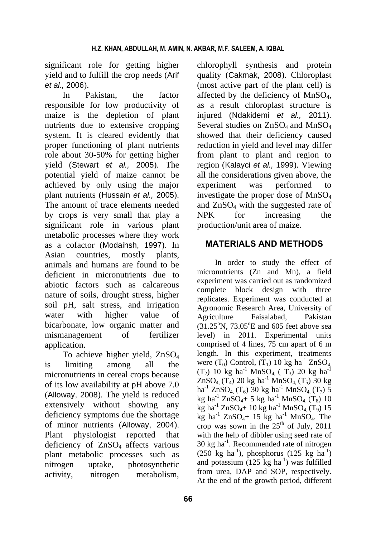significant role for getting higher yield and to fulfill the crop needs (Arif *et al.,* 2006).

In Pakistan, the factor responsible for low productivity of maize is the depletion of plant nutrients due to extensive cropping system. It is cleared evidently that proper functioning of plant nutrients role about 30-50% for getting higher yield (Stewart *et al.,* 2005). The potential yield of maize cannot be achieved by only using the major plant nutrients (Hussain *et al.,* 2005). The amount of trace elements needed by crops is very small that play a significant role in various plant metabolic processes where they work as a cofactor (Modaihsh, 1997). In Asian countries, mostly plants, animals and humans are found to be deficient in micronutrients due to abiotic factors such as calcareous nature of soils, drought stress, higher soil pH, salt stress, and irrigation water with higher value of bicarbonate, low organic matter and mismanagement of fertilizer application.

To achieve higher yield, ZnSO<sub>4</sub> is limiting among all the micronutrients in cereal crops because of its low availability at pH above 7.0 (Alloway, 2008). The yield is reduced extensively without showing any deficiency symptoms due the shortage of minor nutrients (Alloway, 2004). Plant physiologist reported that deficiency of  $ZnSO<sub>4</sub>$  affects various plant metabolic processes such as nitrogen uptake, photosynthetic activity, nitrogen metabolism,

chlorophyll synthesis and protein quality (Cakmak, 2008). Chloroplast (most active part of the plant cell) is affected by the deficiency of MnSO4, as a result chloroplast structure is injured (Ndakidemi *et al.,* 2011). Several studies on  $ZnSO<sub>4</sub>$  and  $MnSO<sub>4</sub>$ showed that their deficiency caused reduction in yield and level may differ from plant to plant and region to region (Kalayci *et al.,* 1999). Viewing all the considerations given above, the experiment was performed to investigate the proper dose of  $MnSO<sub>4</sub>$ and  $ZnSO<sub>4</sub>$  with the suggested rate of NPK for increasing the production/unit area of maize.

# **MATERIALS AND METHODS**

In order to study the effect of micronutrients (Zn and Mn), a field experiment was carried out as randomized complete block design with three replicates. Experiment was conducted at Agronomic Research Area, University of Agriculture Faisalabad, Pakistan  $(31.25\textsuperscript{o}N, 73.05\textsuperscript{o}E$  and 605 feet above sea level) in 2011. Experimental units comprised of 4 lines, 75 cm apart of 6 m length. In this experiment, treatments were  $(T_0)$  Control,  $(T_1)$  10 kg ha<sup>-1</sup> ZnSO<sub>4</sub>. (T<sub>2</sub>) 10 kg ha<sup>-1</sup> MnSO<sub>4</sub> (T<sub>3</sub>) 20 kg ha<sup>-1</sup>  $ZnSO_4$  (T<sub>4</sub>) 20 kg ha<sup>-1</sup> MnSO<sub>4</sub> (T<sub>5</sub>) 30 kg ha<sup>-1</sup> ZnSO<sub>4</sub>, (T<sub>6</sub>) 30 kg ha<sup>-1</sup> MnSO<sub>4</sub>, (T<sub>7</sub>) 5 kg ha<sup>-1</sup> ZnSO<sub>4</sub>+ 5 kg ha<sup>-1</sup> MnSO<sub>4</sub> (T<sub>8</sub>) 10  $k_g$  ha<sup>-1</sup> ZnSO<sub>4</sub>+ 10 kg ha<sup>-1</sup> MnSO<sub>4</sub> (T<sub>9</sub>) 15 kg ha<sup>-1</sup> ZnSO<sub>4</sub>+ 15 kg ha<sup>-1</sup> MnSO<sub>4</sub>. The crop was sown in the  $25<sup>th</sup>$  of July, 2011 with the help of dibbler using seed rate of 30 kg ha-1. Recommended rate of nitrogen  $(250 \text{ kg } \text{ha}^{-1})$ , phosphorus  $(125 \text{ kg } \text{ha}^{-1})$ and potassium  $(125 \text{ kg ha}^{-1})$  was fulfilled from urea, DAP and SOP, respectively. At the end of the growth period, different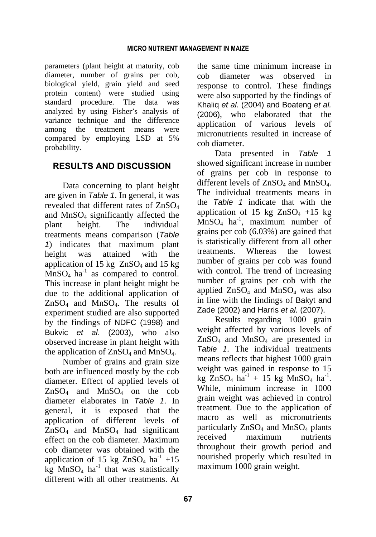parameters (plant height at maturity, cob diameter, number of grains per cob, biological yield, grain yield and seed protein content) were studied using standard procedure. The data was analyzed by using Fisher's analysis of variance technique and the difference among the treatment means were compared by employing LSD at 5% probability.

# **RESULTS AND DISCUSSION**

Data concerning to plant height are given in *Table 1*. In general, it was revealed that different rates of  $ZnSO<sub>4</sub>$ and  $MnSO<sub>4</sub>$  significantly affected the plant height. The individual treatments means comparison (*Table 1*) indicates that maximum plant height was attained with the application of 15 kg  $ZnSO<sub>4</sub>$  and 15 kg  $MnSO_4$  ha<sup>-1</sup> as compared to control. This increase in plant height might be due to the additional application of  $ZnSO<sub>4</sub>$  and MnSO<sub>4</sub>. The results of experiment studied are also supported by the findings of NDFC (1998) and Bukvic *et al*. (2003), who also observed increase in plant height with the application of  $ZnSO_4$  and  $MnSO_4$ .

Number of grains and grain size both are influenced mostly by the cob diameter. Effect of applied levels of  $ZnSO_4$  and  $MnSO_4$  on the cob diameter elaborates in *Table 1*. In general, it is exposed that the application of different levels of  $ZnSO<sub>4</sub>$  and MnSO<sub>4</sub> had significant effect on the cob diameter. Maximum cob diameter was obtained with the application of 15 kg  $ZnSO_4$  ha<sup>-1</sup> +15  $kg$  MnSO<sub>4</sub> ha<sup>-1</sup> that was statistically different with all other treatments. At the same time minimum increase in cob diameter was observed in response to control. These findings were also supported by the findings of Khaliq *et al.* (2004) and Boateng *et al.*  (2006), who elaborated that the application of various levels of micronutrients resulted in increase of cob diameter.

Data presented in *Table 1* showed significant increase in number of grains per cob in response to different levels of  $ZnSO_4$  and  $MnSO_4$ . The individual treatments means in the *Table 1* indicate that with the application of 15 kg  $ZnSO<sub>4</sub> +15$  kg  $MnSO<sub>4</sub>$  ha<sup>-1</sup>, maximum number of grains per cob (6.03%) are gained that is statistically different from all other treatments. Whereas the lowest number of grains per cob was found with control. The trend of increasing number of grains per cob with the applied  $ZnSO_4$  and  $MnSO_4$  was also in line with the findings of Bakyt and Zade (2002) and Harris *et al.* (2007).

Results regarding 1000 grain weight affected by various levels of  $ZnSO<sub>4</sub>$  and MnSO<sub>4</sub> are presented in *Table 1*. The individual treatments means reflects that highest 1000 grain weight was gained in response to 15 kg  $ZnSO_4$  ha<sup>-1</sup> + 15 kg MnSO<sub>4</sub> ha<sup>-1</sup>. While, minimum increase in 1000 grain weight was achieved in control treatment. Due to the application of macro as well as micronutrients particularly  $ZnSO_4$  and  $MnSO_4$  plants received maximum nutrients throughout their growth period and nourished properly which resulted in maximum 1000 grain weight.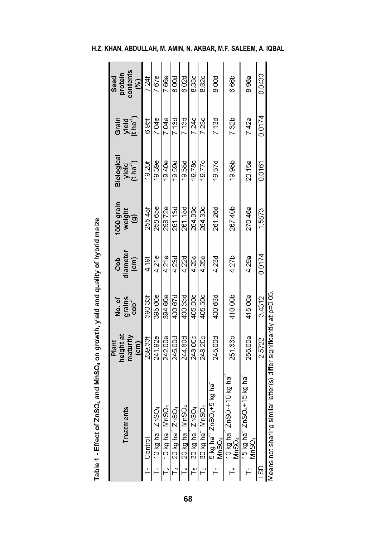| Ľ<br>Treatmen                                                                             | height at<br>maturity<br>Plant<br>$\overline{c}$ m) | grains<br>cob <sup>-1</sup><br>No.of | diameter<br>cob<br>(cm) | 1000 grain<br>weight<br>(g) | Biological<br>yield<br>(t ha <sup>-1</sup> ) | Grain<br>yield<br>(t ha <sup>-1</sup> ) | contents<br>protein<br>Seed<br>$\left( \frac{1}{2} \right)$ |
|-------------------------------------------------------------------------------------------|-----------------------------------------------------|--------------------------------------|-------------------------|-----------------------------|----------------------------------------------|-----------------------------------------|-------------------------------------------------------------|
| $\mathsf{\Gamma}_0$ Control                                                               | 239.33f                                             | 390.33f                              | 4.19f                   | 255.48f                     | 19.20                                        | 6.95                                    | 7.24                                                        |
| റ്<br>$\Gamma_1$ 10 kg ha <sup>-1</sup> ZnSI                                              | 241.92e                                             | 395.00e                              | 4.21e                   | 258.65e                     | 19.39e                                       | 7.04e                                   | 7.67e                                                       |
| $\mathsf{T}_2$ = 10 kg ha $^{\text{-}1}$ MnSO <sub>4</sub>                                | 242.00e                                             | 394.60e                              | 421e                    | 258.72e                     | 19.40e                                       | 7.04e                                   | 7.66e                                                       |
| റ്<br>$20$ kg ha <sup>-1</sup> ZnS<br>$\frac{8}{10}$                                      | 245.00d                                             | 400.67d                              | 423d                    | 261.13d                     | 19.59d                                       | 7.13d                                   | 8.00d                                                       |
| $20$ kg ha <sup>1</sup> MnSO <sub>4</sub><br>$\frac{1}{4}$                                | 244.80d                                             | 400.33d                              | 4.22d                   | 261.18d                     | 19.58d                                       | 7.13d                                   | 8.02d                                                       |
| đ<br>30 kg ha $^{-1}$ ZnS<br>$\overline{5}$                                               | 248.00c                                             | 405.00c                              | 4.25c                   | 264.08c                     | 19.78c                                       | 7.24c                                   | 8.33c                                                       |
| 30 kg ha <sup>-1</sup> MnSO <sub>4</sub><br>$\overline{\phantom{0}}^{\circ}$              | 248.20c                                             | 405.50c                              | 4.25c                   | 264.30c                     | 19.77c                                       | 7.23c                                   | 8.32c                                                       |
| i+5 kg hai<br>5 kg ha <sup>-1</sup> ZnSO<br>MnSO <sub>4</sub>                             | 245.00d                                             | 400.63d                              | 4.23d                   | 261.26d                     | 19.57d                                       | 7.13d                                   | 8.00d                                                       |
| D <sub>4</sub> +10 kg ha<br>10 kg ha $\degree$ ZnSC<br>MnSO <sub>4</sub><br>$\frac{8}{1}$ | 251.33b                                             | 410.00b                              | 4.27b                   | 267.40b                     | 19.98b                                       | 7.32b                                   | 8.66b                                                       |
| 15 kg ha $^{-1}$ ZnSO4+15 kg ha<br>MnSO <sub>4</sub><br>$\overline{a}$                    | 255.00a                                             | 415.00a                              | 4.29a                   | 270.46a                     | 20.15a                                       | 742a                                    | 8.96a                                                       |
| <b>GS</b>                                                                                 | 2.5722                                              | 3.4312                               | 0.0174                  | 1.5873                      | 0.0161                                       | 0.0174                                  | 0.0433                                                      |
| ilar letter(s) differ significantly at p=0.05<br>Means not sharing sim                    |                                                     |                                      |                         |                             |                                              |                                         |                                                             |

Table 1 - Effect of ZnSO<sub>4</sub> and MnSO<sub>4</sub> on growth, yield and quality of hybrid maize

### **H.Z. KHAN, ABDULLAH, M. AMIN, N. AKBAR, M.F. SALEEM, A. IQBAL**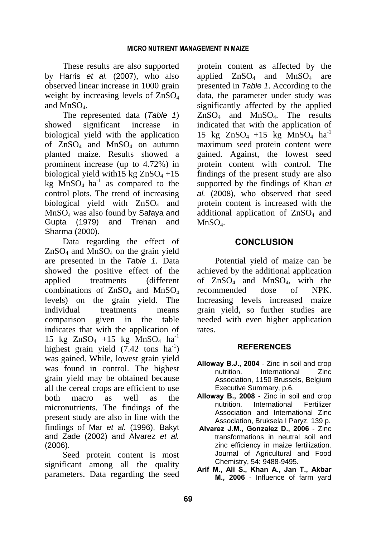These results are also supported by Harris *et al.* (2007), who also observed linear increase in 1000 grain weight by increasing levels of  $ZnSO<sub>4</sub>$ and  $MnSO<sub>4</sub>$ .

The represented data (*Table 1*) showed significant increase in biological yield with the application of  $ZnSO_4$  and  $MnSO_4$  on autumn planted maize. Results showed a prominent increase (up to 4.72%) in biological yield with  $15 \text{ kg ZnSO}_4 + 15$ kg  $MnSO_4$  ha<sup>-1</sup> as compared to the control plots. The trend of increasing biological yield with ZnSO<sub>4</sub> and MnSO4 was also found by Safaya and Gupta (1979) and Trehan and Sharma (2000).

Data regarding the effect of  $ZnSO<sub>4</sub>$  and MnS $O<sub>4</sub>$  on the grain yield are presented in the *Table 1*. Data showed the positive effect of the applied treatments (different combinations of  $ZnSO<sub>4</sub>$  and  $MnSO<sub>4</sub>$ levels) on the grain yield. The individual treatments means comparison given in the table indicates that with the application of 15 kg  $ZnSO_4$  +15 kg  $MnSO_4$  ha<sup>-1</sup> highest grain yield  $(7.42 \text{ tons } ha^{-1})$ was gained. While, lowest grain yield was found in control. The highest grain yield may be obtained because all the cereal crops are efficient to use both macro as well as the micronutrients. The findings of the present study are also in line with the findings of Mar *et al.* (1996), Bakyt and Zade (2002) and Alvarez *et al.* (2006).

Seed protein content is most significant among all the quality parameters. Data regarding the seed protein content as affected by the applied  $ZnSO_4$  and  $MnSO_4$  are presented in *Table 1*. According to the data, the parameter under study was significantly affected by the applied ZnSO4 and MnSO4. The results indicated that with the application of 15 kg  $ZnSO_4$  +15 kg  $MnSO_4$  ha<sup>-1</sup> maximum seed protein content were gained. Against, the lowest seed protein content with control. The findings of the present study are also supported by the findings of Khan *et al.* (2008), who observed that seed protein content is increased with the additional application of  $\text{ZnSO}_4$  and  $MnSO<sub>4</sub>$ .

# **CONCLUSION**

Potential yield of maize can be achieved by the additional application of ZnSO4 and MnSO4, with the recommended dose of NPK. Increasing levels increased maize grain yield, so further studies are needed with even higher application rates.

#### **REFERENCES**

- **Alloway B.J., 2004** Zinc in soil and crop nutrition. International Zinc Association, 1150 Brussels, Belgium Executive Summary, p.6.
- **Alloway B., 2008** Zinc in soil and crop nutrition. International Fertilizer Association and International Zinc Association, Bruksela I Paryz, 139 p.
- **Alvarez J.M., Gonzalez D., 2006** Zinc transformations in neutral soil and zinc efficiency in maize fertilization. Journal of Agricultural and Food Chemistry, 54: 9488-9495.
- **Arif M., Ali S., Khan A., Jan T., Akbar M., 2006** - Influence of farm yard